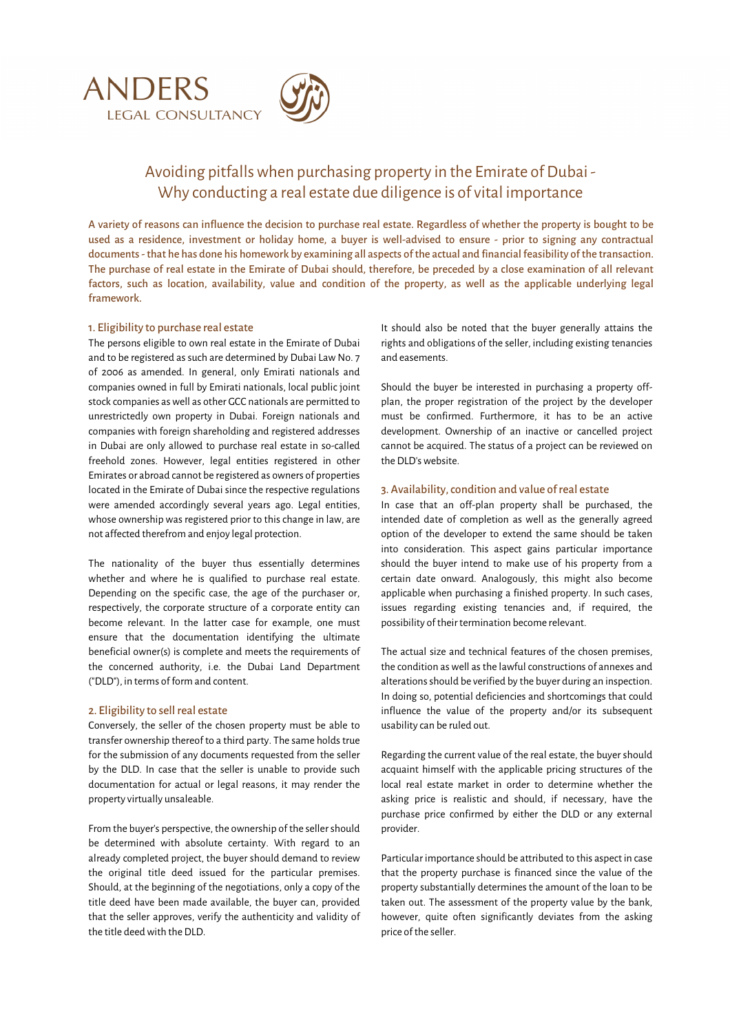

# Avoiding pitfalls when purchasing property in the Emirate of Dubai - Why conducting a real estate due diligence is of vital importance

A variety of reasons can influence the decision to purchase real estate. Regardless of whether the property is bought to be used as a residence, investment or holiday home, a buyer is well-advised to ensure - prior to signing any contractual documents - that he has done his homework by examining all aspects of the actual and financial feasibility of the transaction. The purchase of real estate in the Emirate of Dubai should, therefore, be preceded by a close examination of all relevant factors, such as location, availability, value and condition of the property, as well as the applicable underlying legal framework.

## 1. Eligibility to purchase real estate

The persons eligible to own real estate in the Emirate of Dubai and to be registered as such are determined by Dubai Law No. 7 of 2006 as amended. In general, only Emirati nationals and companies owned in full by Emirati nationals, local public joint stock companies as well as other GCC nationals are permitted to unrestrictedly own property in Dubai. Foreign nationals and companies with foreign shareholding and registered addresses in Dubai are only allowed to purchase real estate in so-called freehold zones. However, legal entities registered in other Emirates or abroad cannot be registered as owners of properties located in the Emirate of Dubai since the respective regulations were amended accordingly several years ago. Legal entities, whose ownership was registered prior to this change in law, are not affected therefrom and enjoy legal protection.

The nationality of the buyer thus essentially determines whether and where he is qualified to purchase real estate. Depending on the specific case, the age of the purchaser or, respectively, the corporate structure of a corporate entity can become relevant. In the latter case for example, one must ensure that the documentation identifying the ultimate beneficial owner(s) is complete and meets the requirements of the concerned authority, i.e. the Dubai Land Department ("DLD"), in terms of form and content.

### 2. Eligibility to sell real estate

Conversely, the seller of the chosen property must be able to transfer ownership thereof to a third party. The same holds true for the submission of any documents requested from the seller by the DLD. In case that the seller is unable to provide such documentation for actual or legal reasons, it may render the property virtually unsaleable.

From the buyer's perspective, the ownership of the seller should be determined with absolute certainty. With regard to an already completed project, the buyer should demand to review the original title deed issued for the particular premises. Should, at the beginning of the negotiations, only a copy of the title deed have been made available, the buyer can, provided that the seller approves, verify the authenticity and validity of the title deed with the DLD.

It should also be noted that the buyer generally attains the rights and obligations of the seller, including existing tenancies and easements.

Should the buyer be interested in purchasing a property offplan, the proper registration of the project by the developer must be confirmed. Furthermore, it has to be an active development. Ownership of an inactive or cancelled project cannot be acquired. The status of a project can be reviewed on the DLD's website.

## 3. Availability, condition and value of real estate

In case that an off-plan property shall be purchased, the intended date of completion as well as the generally agreed option of the developer to extend the same should be taken into consideration. This aspect gains particular importance should the buyer intend to make use of his property from a certain date onward. Analogously, this might also become applicable when purchasing a finished property. In such cases, issues regarding existing tenancies and, if required, the possibility of their termination become relevant.

The actual size and technical features of the chosen premises, the condition as well as the lawful constructions of annexes and alterations should be verified by the buyer during an inspection. In doing so, potential deficiencies and shortcomings that could influence the value of the property and/or its subsequent usability can be ruled out.

Regarding the current value of the real estate, the buyer should acquaint himself with the applicable pricing structures of the local real estate market in order to determine whether the asking price is realistic and should, if necessary, have the purchase price confirmed by either the DLD or any external provider.

Particular importance should be attributed to this aspect in case that the property purchase is financed since the value of the property substantially determines the amount of the loan to be taken out. The assessment of the property value by the bank, however, quite often significantly deviates from the asking price of the seller.